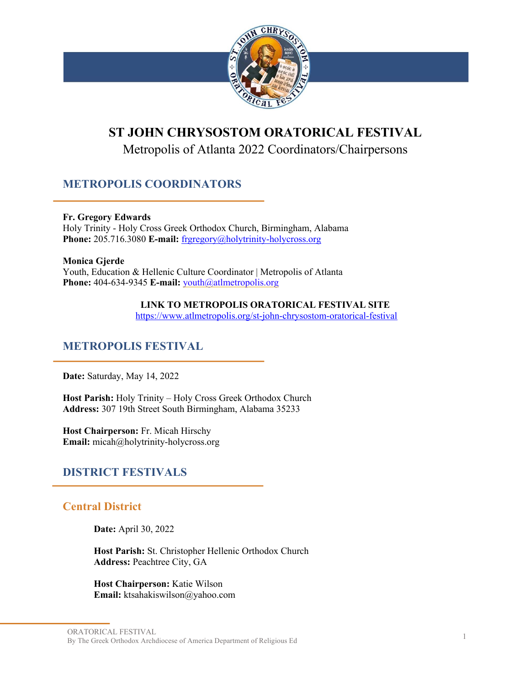

# **ST JOHN CHRYSOSTOM ORATORICAL FESTIVAL**

Metropolis of Atlanta 2022 Coordinators/Chairpersons

# **METROPOLIS COORDINATORS**

#### **Fr. Gregory Edwards**

Holy Trinity - Holy Cross Greek Orthodox Church, Birmingham, Alabama **Phone:** 205.716.3080 **E-mail:** frgregory@holytrinity-holycross.org

#### **Monica Gjerde**

Youth, Education & Hellenic Culture Coordinator | Metropolis of Atlanta Phone: 404-634-9345 **E-mail:** youth@atlmetropolis.org

#### **LINK TO METROPOLIS ORATORICAL FESTIVAL SITE**

https://www.atlmetropolis.org/st-john-chrysostom-oratorical-festival

# **METROPOLIS FESTIVAL**

**Date:** Saturday, May 14, 2022

**Host Parish:** Holy Trinity – Holy Cross Greek Orthodox Church **Address:** 307 19th Street South Birmingham, Alabama 35233

**Host Chairperson:** Fr. Micah Hirschy **Email:** micah@holytrinity-holycross.org

# **DISTRICT FESTIVALS**

# **Central District**

**Date:** April 30, 2022

**Host Parish:** St. Christopher Hellenic Orthodox Church **Address:** Peachtree City, GA

**Host Chairperson:** Katie Wilson **Email:** ktsahakiswilson@yahoo.com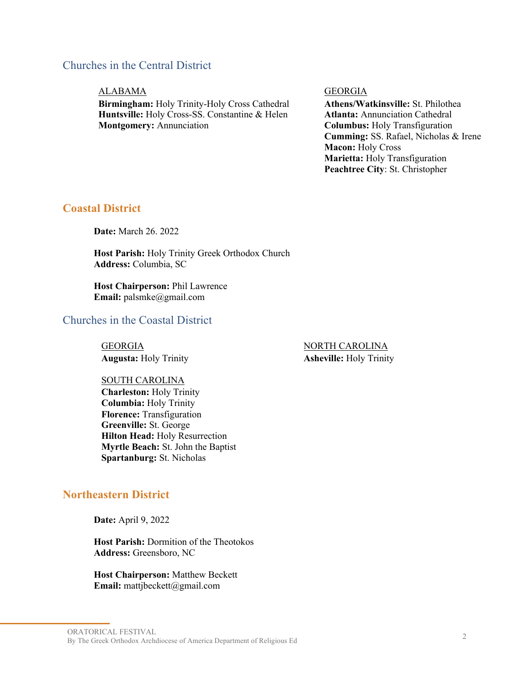# Churches in the Central District

#### ALABAMA GEORGIA

**Birmingham:** Holy Trinity-Holy Cross Cathedral **Huntsville:** Holy Cross-SS. Constantine & Helen **Montgomery:** Annunciation

**Athens/Watkinsville:** St. Philothea **Atlanta:** Annunciation Cathedral **Columbus:** Holy Transfiguration **Cumming:** SS. Rafael, Nicholas & Irene **Macon:** Holy Cross **Marietta:** Holy Transfiguration **Peachtree City**: St. Christopher

## **Coastal District**

**Date:** March 26. 2022

**Host Parish:** Holy Trinity Greek Orthodox Church **Address:** Columbia, SC

**Host Chairperson:** Phil Lawrence **Email:** palsmke@gmail.com

# Churches in the Coastal District

GEORGIA NORTH CAROLINA

#### SOUTH CAROLINA

**Charleston:** Holy Trinity **Columbia:** Holy Trinity **Florence:** Transfiguration **Greenville:** St. George **Hilton Head:** Holy Resurrection **Myrtle Beach:** St. John the Baptist **Spartanburg:** St. Nicholas

## **Northeastern District**

**Date:** April 9, 2022

**Host Parish:** Dormition of the Theotokos **Address:** Greensboro, NC

**Host Chairperson:** Matthew Beckett **Email:** mattjbeckett@gmail.com

**Augusta:** Holy Trinity **Asheville:** Holy Trinity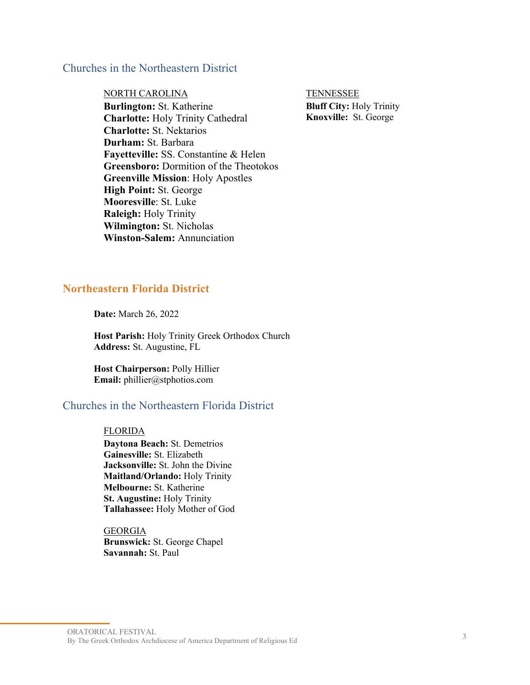### Churches in the Northeastern District

NORTH CAROLINA TENNESSEE

**Burlington:** St. Katherine **Charlotte:** Holy Trinity Cathedral **Charlotte:** St. Nektarios **Durham:** St. Barbara **Fayetteville:** SS. Constantine & Helen **Greensboro:** Dormition of the Theotokos **Greenville Mission**: Holy Apostles **High Point:** St. George **Mooresville**: St. Luke **Raleigh:** Holy Trinity **Wilmington:** St. Nicholas **Winston-Salem:** Annunciation

**Bluff City:** Holy Trinity **Knoxville:** St. George

## **Northeastern Florida District**

**Date:** March 26, 2022

**Host Parish:** Holy Trinity Greek Orthodox Church **Address:** St. Augustine, FL

**Host Chairperson:** Polly Hillier **Email:** phillier@stphotios.com

# Churches in the Northeastern Florida District

#### **FLORIDA**

**Daytona Beach:** St. Demetrios **Gainesville:** St. Elizabeth **Jacksonville:** St. John the Divine **Maitland/Orlando:** Holy Trinity **Melbourne:** St. Katherine **St. Augustine:** Holy Trinity **Tallahassee:** Holy Mother of God

GEORGIA **Brunswick:** St. George Chapel **Savannah:** St. Paul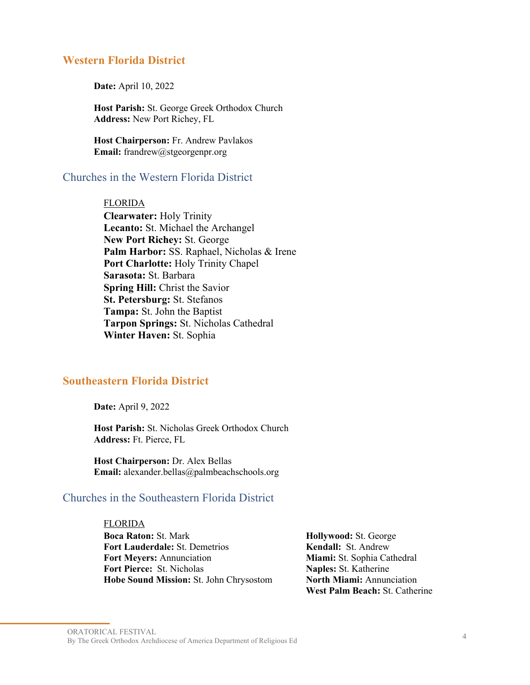#### **Western Florida District**

**Date:** April 10, 2022

**Host Parish:** St. George Greek Orthodox Church **Address:** New Port Richey, FL

**Host Chairperson:** Fr. Andrew Pavlakos **Email:** frandrew@stgeorgenpr.org

## Churches in the Western Florida District

#### FLORIDA

**Clearwater:** Holy Trinity **Lecanto:** St. Michael the Archangel **New Port Richey:** St. George **Palm Harbor:** SS. Raphael, Nicholas & Irene **Port Charlotte:** Holy Trinity Chapel **Sarasota:** St. Barbara **Spring Hill:** Christ the Savior **St. Petersburg:** St. Stefanos **Tampa:** St. John the Baptist **Tarpon Springs:** St. Nicholas Cathedral **Winter Haven:** St. Sophia

#### **Southeastern Florida District**

**Date:** April 9, 2022

**Host Parish:** St. Nicholas Greek Orthodox Church **Address:** Ft. Pierce, FL

**Host Chairperson:** Dr. Alex Bellas **Email:** alexander.bellas@palmbeachschools.org

#### Churches in the Southeastern Florida District

FLORIDA **Boca Raton:** St. Mark **Fort Lauderdale:** St. Demetrios **Fort Meyers:** Annunciation **Fort Pierce:** St. Nicholas **Hobe Sound Mission:** St. John Chrysostom

**Hollywood:** St. George **Kendall:** St. Andrew **Miami:** St. Sophia Cathedral **Naples:** St. Katherine **North Miami:** Annunciation **West Palm Beach:** St. Catherine